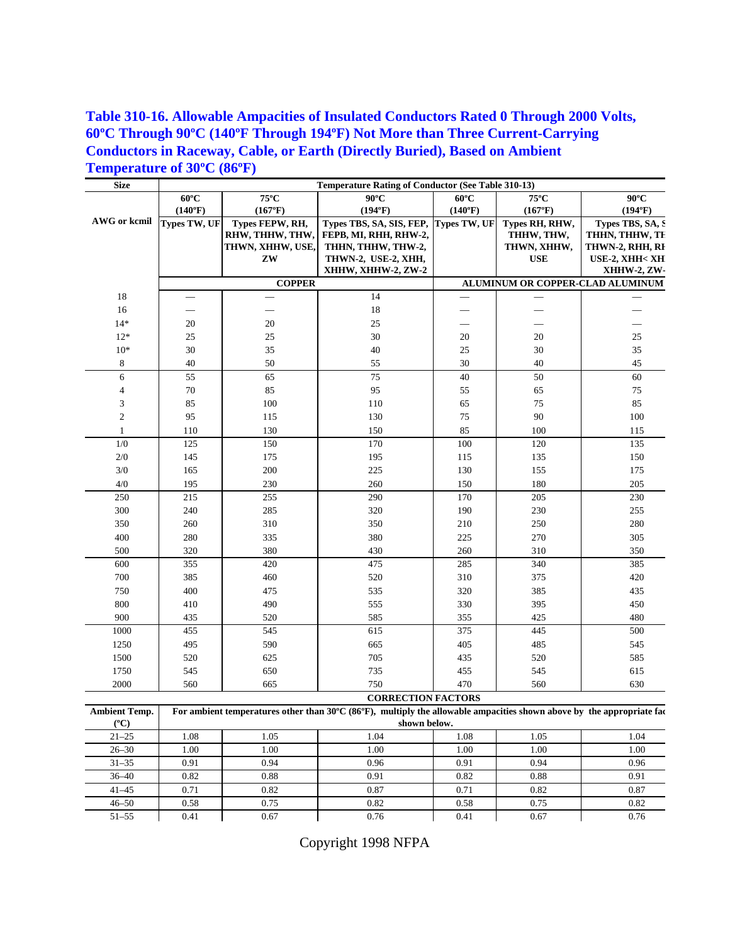## **Table 310-16. Allowable Ampacities of Insulated Conductors Rated 0 Through 2000 Volts, 60ºC Through 90ºC (140ºF Through 194ºF) Not More than Three Current-Carrying Conductors in Raceway, Cable, or Earth (Directly Buried), Based on Ambient Temperature of 30ºC (86ºF)**

| <b>Size</b>      | <b>Temperature Rating of Conductor (See Table 310-13)</b>                                                             |                        |                                           |                |                                  |                                   |  |  |  |
|------------------|-----------------------------------------------------------------------------------------------------------------------|------------------------|-------------------------------------------|----------------|----------------------------------|-----------------------------------|--|--|--|
|                  | $60^{\circ}$ C                                                                                                        | $75^{\circ} \text{C}$  | $90^{\circ}$ C                            | $60^{\circ}$ C | $75^{\circ} \text{C}$            | $90^{\circ}$ C                    |  |  |  |
|                  | (140°F)                                                                                                               | (167°F)                | (194°F)                                   | (140°F)        | (167°F)                          | (194°F)                           |  |  |  |
| AWG or kcmil     | <b>Types TW, UF</b>                                                                                                   | Types FEPW, RH,        | Types TBS, SA, SIS, FEP,                  | Types TW, UF   | Types RH, RHW,                   | Types TBS, SA, S                  |  |  |  |
|                  |                                                                                                                       | RHW, THHW, THW,        | FEPB, MI, RHH, RHW-2,                     |                | THHW, THW,                       | THHN, THHW, TE                    |  |  |  |
|                  |                                                                                                                       | THWN, XHHW, USE,<br>ZW | THHN, THHW, THW-2,<br>THWN-2, USE-2, XHH, |                | THWN, XHHW,<br><b>USE</b>        | THWN-2, RHH, RI<br>USE-2, XHH< XH |  |  |  |
|                  |                                                                                                                       |                        | XHHW, XHHW-2, ZW-2                        |                |                                  | XHHW-2, ZW-                       |  |  |  |
|                  |                                                                                                                       | <b>COPPER</b>          |                                           |                | ALUMINUM OR COPPER-CLAD ALUMINUM |                                   |  |  |  |
| 18               |                                                                                                                       |                        | 14                                        |                |                                  |                                   |  |  |  |
| 16               |                                                                                                                       |                        | 18                                        |                |                                  |                                   |  |  |  |
| $14*$            | 20                                                                                                                    | 20                     | 25                                        |                |                                  |                                   |  |  |  |
| $12*$            | 25                                                                                                                    | 25                     | 30                                        | 20             | 20                               | 25                                |  |  |  |
| $10*$            | $30\,$                                                                                                                | 35                     | 40                                        | 25             | $30\,$                           | 35                                |  |  |  |
| 8                | 40                                                                                                                    | 50                     | 55                                        | 30             | 40                               | $45\,$                            |  |  |  |
| 6                | 55                                                                                                                    | 65                     | 75                                        | 40             | 50                               | 60                                |  |  |  |
| 4                | $70\,$                                                                                                                | 85                     | 95                                        | 55             | 65                               | $75\,$                            |  |  |  |
| 3                | 85                                                                                                                    | 100                    | 110                                       | 65             | 75                               | 85                                |  |  |  |
| $\boldsymbol{2}$ | 95                                                                                                                    | 115                    | 130                                       | 75             | 90                               | 100                               |  |  |  |
| 1                | 110                                                                                                                   | 130                    | 150                                       | 85             | 100                              | 115                               |  |  |  |
| $1/0$            | 125                                                                                                                   | 150                    | 170                                       | 100            | 120                              | 135                               |  |  |  |
| $2/0$            | 145                                                                                                                   | 175                    | 195                                       | 115            | 135                              | 150                               |  |  |  |
| $3/0$            | 165                                                                                                                   | 200                    | 225                                       | 130            | 155                              | 175                               |  |  |  |
| $4/0$            | 195                                                                                                                   | 230                    | 260                                       | 150            | 180                              | 205                               |  |  |  |
| 250              | 215                                                                                                                   | 255                    | 290                                       | 170            | 205                              | 230                               |  |  |  |
| 300              | 240                                                                                                                   | 285                    | 320                                       | 190            | 230                              | 255                               |  |  |  |
| 350              | 260                                                                                                                   | 310                    | 350                                       | 210            | 250                              | 280                               |  |  |  |
| 400              | 280                                                                                                                   | 335                    | 380                                       | 225            | 270                              | 305                               |  |  |  |
| 500              | 320                                                                                                                   | 380                    | 430                                       | 260            | 310                              | 350                               |  |  |  |
| 600              | 355                                                                                                                   | 420                    | 475                                       | 285            | 340                              | 385                               |  |  |  |
| 700              | 385                                                                                                                   | 460                    | 520                                       | 310            | 375                              | 420                               |  |  |  |
| 750              | 400                                                                                                                   | 475                    | 535                                       | 320            | 385                              | 435                               |  |  |  |
| 800              | 410                                                                                                                   | 490                    | 555                                       | 330            | 395                              | 450                               |  |  |  |
| 900              | 435                                                                                                                   | 520                    | 585                                       | 355            | 425                              | 480                               |  |  |  |
| 1000             | 455                                                                                                                   | 545                    | 615                                       | 375            | 445                              | 500                               |  |  |  |
| 1250             | 495                                                                                                                   | 590                    | 665                                       | 405            | 485                              | 545                               |  |  |  |
| 1500             | 520                                                                                                                   | 625                    | 705                                       | 435            | 520                              | 585                               |  |  |  |
| 1750             | 545                                                                                                                   | 650                    | 735                                       | 455            | 545                              | 615                               |  |  |  |
| 2000             | 560                                                                                                                   | 665                    | 750                                       | 470            | 560                              | 630                               |  |  |  |
|                  |                                                                                                                       |                        | <b>CORRECTION FACTORS</b>                 |                |                                  |                                   |  |  |  |
| Ambient Temp.    | For ambient temperatures other than 30°C (86°F), multiply the allowable ampacities shown above by the appropriate fac |                        |                                           |                |                                  |                                   |  |  |  |
| $(^{\circ}C)$    |                                                                                                                       |                        | shown below.                              |                |                                  |                                   |  |  |  |
| $21 - 25$        | 1.08                                                                                                                  | 1.05                   | 1.04                                      | 1.08           | 1.05                             | 1.04                              |  |  |  |
| $26 - 30$        | 1.00                                                                                                                  | 1.00                   | 1.00                                      | 1.00           | 1.00                             | 1.00                              |  |  |  |
| $31 - 35$        | 0.91                                                                                                                  | 0.94                   | 0.96                                      | 0.91           | 0.94                             | 0.96                              |  |  |  |
| $36 - 40$        | 0.82                                                                                                                  | 0.88                   | 0.91                                      | 0.82           | 0.88                             | 0.91                              |  |  |  |
| $41 - 45$        | 0.71                                                                                                                  | 0.82                   | 0.87                                      | 0.71           | 0.82                             | 0.87                              |  |  |  |
| $46 - 50$        | 0.58                                                                                                                  | 0.75                   | 0.82                                      | 0.58           | 0.75                             | 0.82                              |  |  |  |
| $51 - 55$        | 0.41                                                                                                                  | 0.67                   | 0.76                                      | 0.41           | 0.67                             | 0.76                              |  |  |  |

Copyright 1998 NFPA